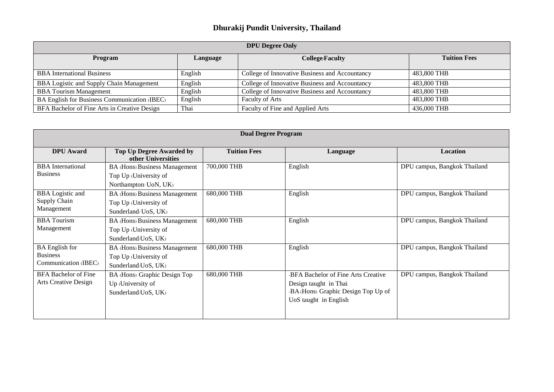## **Dhurakij Pundit University, Thailand**

| <b>DPU Degree Only</b>                          |          |                                                |                     |  |  |  |  |
|-------------------------------------------------|----------|------------------------------------------------|---------------------|--|--|--|--|
| Program                                         | Language | <b>College/Faculty</b>                         | <b>Tuition Fees</b> |  |  |  |  |
| <b>BBA</b> International Business               | English  | College of Innovative Business and Accountancy | 483,800 THB         |  |  |  |  |
| <b>BBA Logistic and Supply Chain Management</b> | English  | College of Innovative Business and Accountancy | 483,800 THB         |  |  |  |  |
| <b>BBA</b> Tourism Management                   | English  | College of Innovative Business and Accountancy | 483,800 THB         |  |  |  |  |
| BA English for Business Communication (IBEC)    | English  | Faculty of Arts                                | 483,800 THB         |  |  |  |  |
| BFA Bachelor of Fine Arts in Creative Design    | Thai     | Faculty of Fine and Applied Arts               | 436,000 THB         |  |  |  |  |

| <b>Dual Degree Program</b>                                       |                                                                                        |                     |                                                                                                                              |                              |  |  |
|------------------------------------------------------------------|----------------------------------------------------------------------------------------|---------------------|------------------------------------------------------------------------------------------------------------------------------|------------------------------|--|--|
| <b>DPU</b> Award                                                 | <b>Top Up Degree Awarded by</b><br>other Universities                                  | <b>Tuition Fees</b> | Language                                                                                                                     | <b>Location</b>              |  |  |
| <b>BBA</b> International<br><b>Business</b>                      | <b>BA (Hons) Business Management</b><br>Top Up (University of<br>Northampton/ UoN, UK) | 700,000 THB         | English                                                                                                                      | DPU campus, Bangkok Thailand |  |  |
| <b>BBA</b> Logistic and<br>Supply Chain<br>Management            | <b>BA (Hons) Business Management</b><br>Top Up (University of<br>Sunderland/UoS, UK)   | 680,000 THB         | English                                                                                                                      | DPU campus, Bangkok Thailand |  |  |
| <b>BBA</b> Tourism<br>Management                                 | <b>BA (Hons) Business Management</b><br>Top Up (University of<br>Sunderland/UoS, UK)   | 680,000 THB         | English                                                                                                                      | DPU campus, Bangkok Thailand |  |  |
| <b>BA</b> English for<br><b>Business</b><br>Communication (IBEC) | <b>BA (Hons) Business Management</b><br>Top Up (University of<br>Sunderland/UoS, UK)   | 680,000 THB         | English                                                                                                                      | DPU campus, Bangkok Thailand |  |  |
| <b>BFA Bachelor of Fine</b><br><b>Arts Creative Design</b>       | BA (Hons) Graphic Design Top<br>Up (University of<br>Sunderland/UoS, UK)               | 680,000 THB         | -BFA Bachelor of Fine Arts Creative<br>Design taught in Thai<br>-BA (Hons) Graphic Design Top Up of<br>UoS taught in English | DPU campus, Bangkok Thailand |  |  |